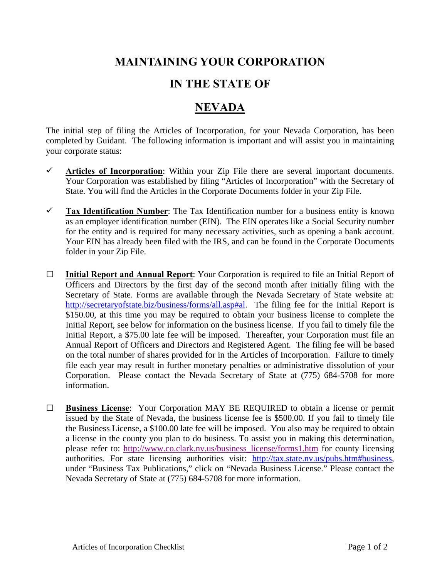## **MAINTAINING YOUR CORPORATION**

## **IN THE STATE OF**

## **NEVADA**

The initial step of filing the Articles of Incorporation, for your Nevada Corporation, has been completed by Guidant. The following information is important and will assist you in maintaining your corporate status:

- **Articles of Incorporation**: Within your Zip File there are several important documents. Your Corporation was established by filing "Articles of Incorporation" with the Secretary of State. You will find the Articles in the Corporate Documents folder in your Zip File.
- **Tax Identification Number**: The Tax Identification number for a business entity is known as an employer identification number (EIN). The EIN operates like a Social Security number for the entity and is required for many necessary activities, such as opening a bank account. Your EIN has already been filed with the IRS, and can be found in the Corporate Documents folder in your Zip File.
- **□ Initial Report and Annual Report**: Your Corporation is required to file an Initial Report of Officers and Directors by the first day of the second month after initially filing with the Secretary of State. Forms are available through the Nevada Secretary of State website at: http://secretaryofstate.biz/business/forms/all.asp#al. The filing fee for the Initial Report is \$150.00, at this time you may be required to obtain your business license to complete the Initial Report, see below for information on the business license. If you fail to timely file the Initial Report, a \$75.00 late fee will be imposed. Thereafter, your Corporation must file an Annual Report of Officers and Directors and Registered Agent. The filing fee will be based on the total number of shares provided for in the Articles of Incorporation. Failure to timely file each year may result in further monetary penalties or administrative dissolution of your Corporation. Please contact the Nevada Secretary of State at (775) 684-5708 for more information.
- **□ Business License**: Your Corporation MAY BE REQUIRED to obtain a license or permit issued by the State of Nevada, the business license fee is \$500.00. If you fail to timely file the Business License, a \$100.00 late fee will be imposed. You also may be required to obtain a license in the county you plan to do business. To assist you in making this determination, please refer to: http://www.co.clark.nv.us/business\_license/forms1.htm for county licensing authorities. For state licensing authorities visit: http://tax.state.nv.us/pubs.htm#business, under "Business Tax Publications," click on "Nevada Business License." Please contact the Nevada Secretary of State at (775) 684-5708 for more information.